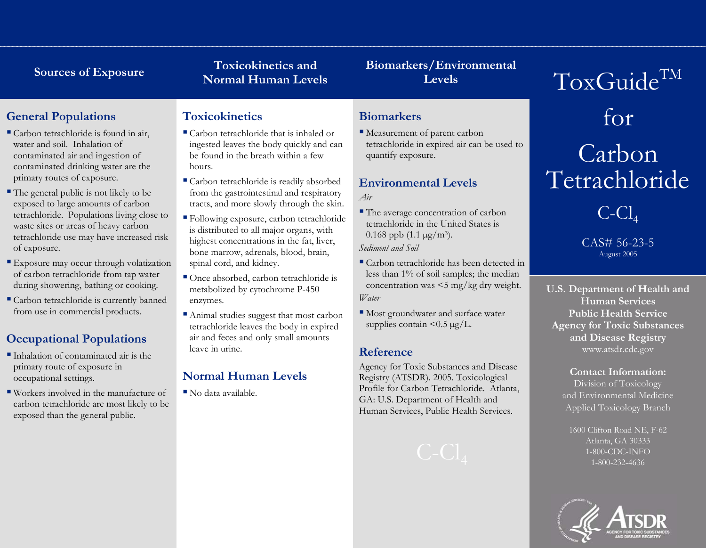# **Toxicokinetics and** Sources of Exposure<br>
Normal Human Levels **Levels**

# **Biomarkers/Environmental**

# **General Populations**

- Carbon tetrachloride is found in air, water and soil. Inhalation of contaminated air and ingestion of contaminated drinking water are the primary routes of exposure.
- The general public is not likely to be exposed to large amounts of carbon tetrachloride. Populations living close to waste sites or areas of heavy carbon tetrachloride use may have increased risk of exposure.
- Exposure may occur through volatization of carbon tetrachloride from tap water during showering, bathing or cooking.
- Carbon tetrachloride is currently banned from use in commercial products.

# **Occupational Populations**

- Inhalation of contaminated air is the primary route of exposure in occupational settings.
- Workers involved in the manufacture of carbon tetrachloride are most likely to be exposed than the general public.

### **Toxicokinetics**

- Carbon tetrachloride that is inhaled or ingested leaves the body quickly and can be found in the breath within a few hours.
- Carbon tetrachloride is readily absorbed from the gastrointestinal and respiratory tracts, and more slowly through the skin.
- Following exposure, carbon tetrachloride is distributed to all major organs, with highest concentrations in the fat, liver, bone marrow, adrenals, blood, brain, spinal cord, and kidney.
- Once absorbed, carbon tetrachloride is metabolized by cytochrome P-450 enzymes.
- Animal studies suggest that most carbon tetrachloride leaves the body in expired air and feces and only small amounts leave in urine.

# **Normal Human Levels**

No data available.

## **Biomarkers**

 Measurement of parent carbon tetrachloride in expired air can be used to quantify exposure.

### **Environmental Levels** *Air*

■ The average concentration of carbon tetrachloride in the United States is 0.168 ppb  $(1.1 \,\mu g/m^3)$ .

*Sediment and Soil*

- Carbon tetrachloride has been detected in less than 1% of soil samples; the median concentration was <5 mg/kg dry weight. *Water*
- Most groundwater and surface water supplies contain  $\leq 0.5 \text{ kg/L}$ .

## **Reference**

Agency for Toxic Substances and Disease Registry (ATSDR). 2005. Toxicological Profile for Carbon Tetrachloride. Atlanta, GA: U.S. Department of Health and Human Services, Public Health Services.

# for Carbon Tetrachloride

ToxGuide<sup>TM</sup>

 $C$ - $Cl$ <sub>4</sub>

CAS# 56-23-5 August 2005

**U.S. Department of Health and Human Services Public Health Service Agency for Toxic Substances and Disease Registry** www.atsdr.cdc.gov

### **Contact Information:**

Division of Toxicology and Environmental Medicine Applied Toxicology Branch

1600 Clifton Road NE, F-62 Atlanta, GA 30333 1-800-CDC-INFO 1-800-232-4636